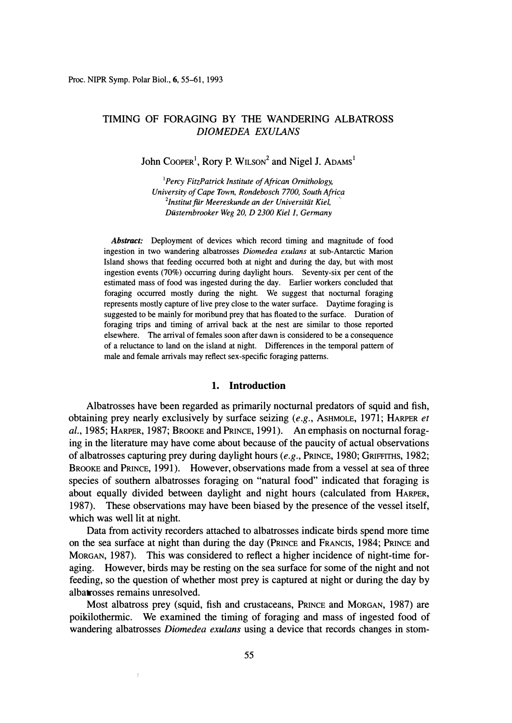# TIMING OF FORAGING BY THE WANDERING ALBATROSS *DIOMEDEA EXULANS*

John Cooper<sup>1</sup>, Rory P. WILSON<sup>2</sup> and Nigel J. ADAMS<sup>1</sup>

<sup>1</sup>*Percy FitzPatrick Institute of African Ornithology, University of Cape Town, Rondebosch 7700, South Africa*  <sup>2</sup> Institut für Meereskunde an der Universität Kiel, *Diistembrooker Weg 20, D 2300 Kiel J, Germany* 

*Abstract:* Deployment of devices which record timing and magnitude of food ingestion in two wandering albatrosses *Diomedea exulans* at sub-Antarctic Marion Island shows that feeding occurred both at night and during the day, but with most ingestion events (70%) occurring during daylight hours. Seventy-six per cent of the estimated mass of food was ingested during the day. Earlier workers concluded that foraging occurred mostly during the night. We suggest that nocturnal foraging represents mostly capture of live prey close to the water surface. Daytime foraging is suggested to be mainly for moribund prey that has floated to the surface. Duration of foraging trips and timing of arrival back at the nest are similar to those reported elsewhere. The arrival of females soon after dawn is considered to be a consequence of a reluctance to land on the island at night. Differences in the temporal pattern of male and female arrivals may reflect sex-specific foraging patterns.

### **1. Introduction**

Albatrosses have been regarded as primarily nocturnal predators of squid and fish, obtaining prey nearly exclusively by surface seizing *(e.g.,* AsHMOLE, 1971; HARPER *et al.,* 1985; HARPER, 1987; BROOKE and PRINCE, 1991). An emphasis on nocturnal foraging in the literature may have come about because of the paucity of actual observations of albatrosses capturing prey during daylight hours *(e.g.,* PRINCE, 1980; GRIFFITHS, 1982; BROOKE and PRINCE, 1991). However, observations made from a vessel at sea of three species of southern albatrosses foraging on "natural food" indicated that foraging is about equally divided between daylight and night hours ( calculated from HARPER, 1987). These observations may have been biased by the presence of the vessel itself, which was well lit at night.

Data from activity recorders attached to albatrosses indicate birds spend more time on the sea surface at night than during the day (PRINCE and FRANCIS, 1984; PRINCE and MORGAN, 1987). This was considered to reflect a higher incidence of night-time foraging. However, birds may be resting on the sea surface for some of the night and not feeding, so the question of whether most prey is captured at night or during the day by albatrosses remains unresolved.

Most albatross prey (squid, fish and crustaceans, PRINCE and MORGAN, 1987) are poikilothermic. We examined the timing of foraging and mass of ingested food of wandering albatrosses *Diomedea exulans* using a device that records changes in stom-

 $\bar{t}$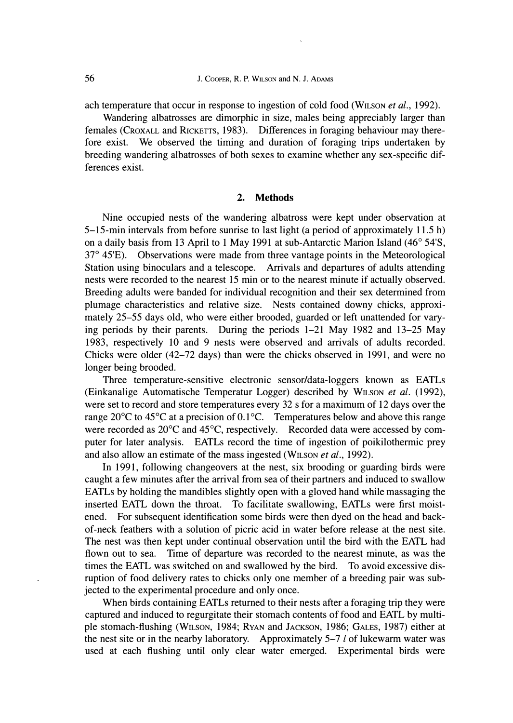ach temperature that occur in response to ingestion of cold food (WILSON *et al.*, 1992).

**Wandering albatrosses are dimorphic in size, males being appreciably larger than females (CROXALL and RICKETTS, 1983). Differences in foraging behaviour may therefore exist. We observed the timing and duration of foraging trips undertaken by breeding wandering albatrosses of both sexes to examine whether any sex-specific differences exist.** 

### **2. Methods**

**Nine occupied nests of the wandering albatross were kept under observation at 5-15-min intervals from before sunrise to last light (a period of approximately 11.5 h) on a daily basis from 13 April to 1 May 1991 at sub-Antarctic Marion Island (46**° **54'S, 37**° **45'E). Observations were made from three vantage points in the Meteorological Station using binoculars and a telescope. Arrivals and departures of adults attending nests were recorded to the nearest 15 min or to the nearest minute if actually observed. Breeding adults were banded for individual recognition and their sex determined from plumage characteristics and relative size. Nests contained downy chicks, approximately 25-55 days old, who were either brooded, guarded or left unattended for varying periods by their parents. During the periods 1-21 May 1982 and 13-25 May 1983, respectively 10 and 9 nests were observed and arrivals of adults recorded. Chicks were older (42-72 days) than were the chicks observed in 1991, and were no longer being brooded.** 

**Three temperature-sensitive electronic sensor/data-loggers known as EATLs (Einkanalige Automatische Temperatur Logger) described by WILSON** *et al.* **(1992), were set to record and store temperatures every 32 s for a maximum of 12 days over the range 20**°**C to 45**°**C at a precision of 0.1** °**C. Temperatures below and above this range were recorded as 20**°**C and 45**°**C, respectively. Recorded data were accessed by computer for later analysis. EATLs record the time of ingestion of poikilothermic prey**  and also allow an estimate of the mass ingested (WILSON *et al.*, 1992).

**In 1991, following changeovers at the nest, six brooding or guarding birds were caught a few minutes after the arrival from sea of their partners and induced to swallow EATLs by holding the mandibles slightly open with a gloved hand while massaging the inserted EATL down the throat. To facilitate swallowing, EATLs were first moistened. For subsequent identification some birds were then dyed on the head and backof-neck feathers with a solution of picric acid in water before release at the nest site. The nest was then kept under continual observation until the bird with the EATL had flown out to sea. Time of departure was recorded to the nearest minute, as was the times the EATL was switched on and swallowed by the bird. To avoid excessive disruption of food delivery rates to chicks only one member of a breeding pair was subjected to the experimental procedure and only once.** 

**When birds containing EATLs returned to their nests after a foraging trip they were captured and induced to regurgitate their stomach contents of food and EATL by multiple stomach-flushing (WILSON, 1984; RYAN and JACKSON, 1986; GALES, 1987) either at the nest site or in the nearby laboratory. Approximately 5-7** *l* **of lukewarm water was used at each flushing until only clear water emerged. Experimental birds were**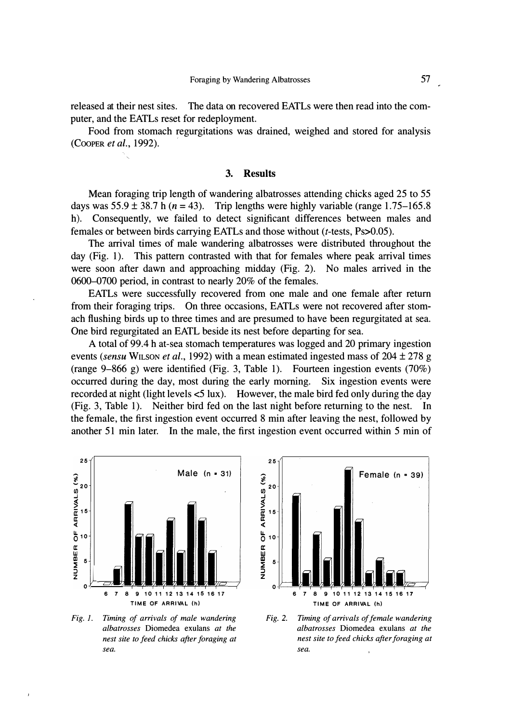released at their nest sites. The data on recovered EATLs were then read into the computer, and the EATLs reset for redeployment.

Food from stomach regurgitations was drained, weighed and stored for analysis (COOPER *et al.,* 1992).

#### **3. Results**

Mean foraging trip length of wandering albatrosses attending chicks aged 25 to 55 days was  $55.9 \pm 38.7$  h ( $n = 43$ ). Trip lengths were highly variable (range 1.75–165.8) h). Consequently, we failed to detect significant differences between males and females or between birds carrying EATLs and those without (t-tests, Ps>0.05).

The arrival times of male wandering albatrosses were distributed throughout the day (Fig. 1). This pattern contrasted with that for females where peak arrival times were soon after dawn and approaching midday (Fig. 2). No males arrived in the 0600-0700 period, in contrast to nearly 20% of the females.

EATLs were successfully recovered from one male and one female after return from their foraging trips. On three occasions, EATLs were not recovered after stomach flushing birds up to three times and are presumed to have been regurgitated at sea. One bird regurgitated an EATL beside its nest before departing for sea.

A total of 99 .4 h at-sea stomach temperatures was logged and 20 primary ingestion events *(sensu* WILSON *et al.,* 1992) with a mean estimated ingested mass of 204 ± 278 g (range 9-866 g) were identified (Fig. 3, Table 1). Fourteen ingestion events (70%) occurred during the day, most during the early morning. Six ingestion events were recorded at night (light levels  $\leq 5$  lux). However, the male bird fed only during the day (Fig. 3, Table 1). Neither bird fed on the last night before returning to the nest. In the female, the first ingestion event occurred 8 min after leaving the nest, followed by another 51 min later. In the male, the first ingestion event occurred within 5 min of



*Fig. 1. Timing of arrivals of male wandering albatrosses* Diomedea exulans *at the nest site to feed chicks after foraging at sea.* 



*Fig.* 2. *Timing of arrivals of female wandering albatrosses* Diomedea exulans *at the nest site to feed chicks after foraging at sea.*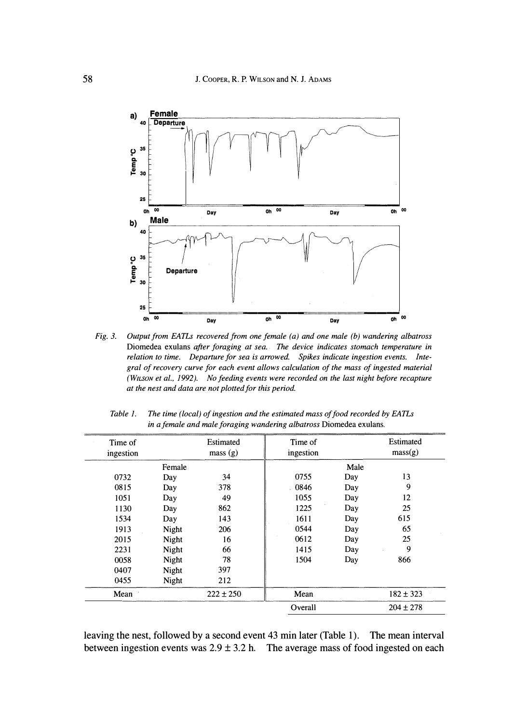

*Fig. 3. Output from EATLs recovered from one female ( a) and one male (b) wandering albatross*  Diomedea exulans *after foraging at sea. . The device indicates stomach temperature in relation to time. Departure for sea is arrowed. Spikes indicate ingestion events. Integral of recovery curve for each event allows calculation of the mass of ingested material (WILSON et al., 1992). No feeding events were recorded on the last night before recapture at the nest and data are not plotted for this period.* 

| Time of<br>ingestion |        | Estimated<br>mass(g) | Time of<br>ingestion |      | Estimated<br>mass(g) |
|----------------------|--------|----------------------|----------------------|------|----------------------|
|                      | Female |                      |                      | Male |                      |
| 0732                 | Day    | 34                   | 0755                 | Day  | 13                   |
| 0815                 | Day    | 378                  | 0846                 | Day  | 9                    |
| 1051                 | Day    | 49                   | 1055                 | Day  | 12                   |
| 1130                 | Day    | 862                  | 1225                 | Day  | 25                   |
| 1534                 | Day    | 143                  | 1611                 | Day  | 615                  |
| 1913                 | Night  | 206                  | 0544                 | Day  | 65                   |
| 2015                 | Night  | 16                   | 0612                 | Day  | 25                   |
| 2231                 | Night  | 66                   | 1415                 | Day  | 9                    |
| 0058                 | Night  | 78                   | 1504                 | Day  | 866                  |
| 0407                 | Night  | 397                  |                      |      |                      |
| 0455                 | Night  | 212                  |                      |      |                      |
| Mean                 |        | $222 \pm 250$        | Mean                 |      | $182 \pm 323$        |
|                      |        |                      | Overall              |      | $204 \pm 278$        |

*Table 1. The time (local) of ingestion and the estimated mass of food recorded by EATLs in a female and male foraging wandering albatross* Diomedea exulans.

leaving the nest, followed by a second event 43 min later (Table 1). The mean interval between ingestion events was  $2.9 \pm 3.2$  h. The average mass of food ingested on each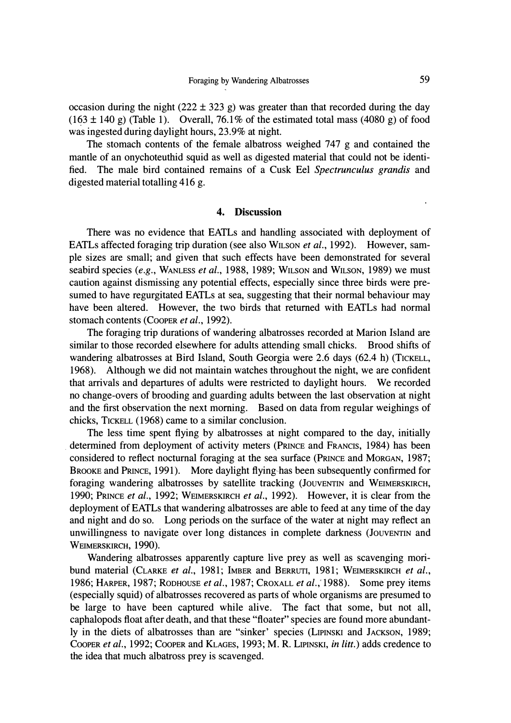*occasion during the night (222 ± 323 g) was greater than that recorded during the day*   $(163 \pm 140 \text{ g})$  (Table 1). Overall, 76.1% of the estimated total mass (4080 g) of food *was ingested during daylight hours, 23.9% at night.* 

The stomach contents of the female albatross weighed 747 g and contained the *mantle of an onychoteuthid squid as well as digested material that could not be identified. The male bird contained remains of a Cusk Eel Spectrunculus grandis and digested material totalling 416 g.* 

### **4. Discussion**

There was no evidence that EATLs and handling associated with deployment of EATLs affected foraging trip duration (see also W<sub>ILSON</sub> *et al.,* 1992). However, sam*ple sizes are small; and given that such effects have been demonstrated for several seabird species (e.g., WANLESS et al., 1988, 1989; WILSON and WILSON, 1989) we must caution against dismissing any potential effects, especially since three birds were presumed to have regurgitated EATLs at sea, suggesting that their normal behaviour may have been altered.* However, the two birds that returned with EATLs had normal *stomach contents (CooPER et al., 1992).* 

*The foraging trip durations of wandering albatrosses recorded at Marion Island are similar to those recorded elsewhere for adults attending small chicks. Brood shifts of wandering albatrosses at Bird Island, South Georgia were 2.6 days (62.4 h) (TICKELL,*  1968). Although we did not maintain watches throughout the night, we are confident *that arrivals and departures of adults were restricted to daylight hours. We recorded no change-overs of brooding and guarding adults between the last observation at night*  and the first observation the next morning. Based on data from regular weighings of *chicks, TICKELL ( 1968) came to a similar conclusion.* 

*The less time spent flying by albatrosses at night compared to the day, initially . determined from deployment of activity meters (PRINCE and FRANCIS, 1984) has been considered to reflect nocturnal foraging at the sea surface (PRINCE and MORGAN, 1987; BROOKE and PRINCE, 1991 ). More daylight flying has been subsequently confirmed for foraging wandering albatrosses by satellite tracking (JouvENTIN and WEIMERSKIRCH, 1990; PRINCE et al., 1992; WEIMERSKIRCH et al., 1992). However, it is clear from the deployment of EATLs that wandering albatrosses are able to feed at any time of the day*  and night and do so. Long periods on the surface of the water at night may reflect an unwillingness to navigate over long distances in complete darkness (JouvENTIN and **WEIMERSKIRCH, 1990).** 

*Wandering albatrosses apparently capture live prey as well as scavenging moribund material (CLARKE et al., 1981; IMBER and BERRUTI, 1981; WEIMERSKIRCH et al., 1986; HARPER, 1987; RoDHOUSE et al., 1987; CROXALL et al.,' 1988). Some prey items ( especially squid) of albatrosses recovered as parts of whole organisms are presumed to be large to have been captured while alive. The fact that some, but not all, caphalopods float after death, and that these "floater" species are found more abundantly in the diets of albatrosses than are "sinker' species (LIPINSKI and JACKSON, 1989; COOPER et al., 1992; COOPER and KLAGES, 1993; M. R. LIPINSKI, in litt.) adds credence to the idea that much albatross prey is scavenged.*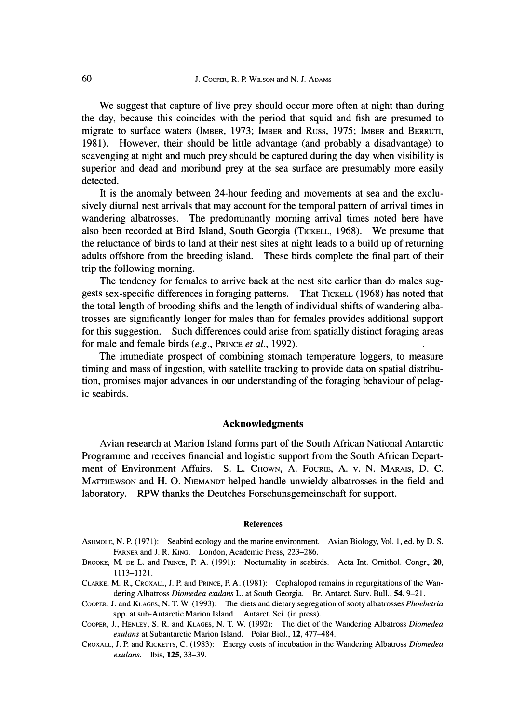We suggest that capture of live prey should occur more often at night than during *the day, because this coincides with the period that squid and fish are presumed to migrate to surface waters (IMBER, 1973; IMBER and Russ, 1975; IMBER and BERRUTI, 1981). However, their should be little advantage (and probably a disadvantage) to scavenging at night and much prey should be captured during the day when visibility is superior and dead and moribund prey at the sea surface are presumably more easily detected.* 

*It is the anomaly between 24-hour feeding and movements at sea and the exclusively diurnal nest arrivals that may account for the temporal pattern of arrival times in*  wandering albatrosses. The predominantly morning arrival times noted here have *also been recorded at Bird Island, South Georgia (TICKELL, 1968). We presume that the reluctance of birds to land at their nest sites at night leads to a build up of returning adults offshore from the breeding island. These birds complete the final part of their trip the following morning.* 

*The tendency for females to arrive back at the nest site earlier than do males suggests sex-specific differences in foraging patterns. That TICKELL ( 1968) has noted that the total length of brooding shifts and the length of individual shifts of wandering albatrosses are significantly longer for males than for females provides additional support for this suggestion. Such differences could arise from spatially distinct foraging areas for male and female birds (e.g., PRINCE et al., 1992).* 

The immediate prospect of combining stomach temperature loggers, to measure *timing and mass of ingestion, with satellite tracking to provide data on spatial distribution, promises major advances in our understanding of the foraging behaviour of pelagic seabirds.* 

## **Acknowledgments**

*Avian research at Marion Island forms part of the South African National Antarctic Programme and receives financial and logistic support from the South African Department of Environment Affairs. S. L. Chown, A. Fourie, A. v. N. MARAIS, D. C. MATIHEWSON and H. 0. NIEMANDT helped handle unwieldy albatrosses in the field and laboratory. RPW thanks the Deutches Forschunsgemeinschaft for support.* 

#### **References**

- AsHMOLE, N. P. (1971): Seabird ecology and the marine environment. Avian Biology, Vol. 1, ed. by D.S. FARNER and J. R. KING. London, Academic Press, 223-286.
- BROOKE; M. DE L. and PRINCE, P. A. (1991): Nocturnality in seabirds. Acta Int. Ornithol. Congr., 20, 1113-1121.
- CLARKE, M. R., CROXALL, J.P. and PRINCE, P.A. (1981): Cephalopod remains in regurgitations of the Wandering Albatross *Diomedea exulans* L. at South Georgia. Br. Antarct. Surv. Bull. , 54, 9-21.
- CooPER, J. and KLAGES, N. T. W. (1993): The diets and dietary segregation of sooty albatrosses *Phoebetria*  spp. at sub-Antarctic Marion Island. Antarct. Sci. (in press).
- CooPER, J. , HENLEY, S. R. and KLAGES, N. T. W. (1992): The diet of the Wandering Albatross *Diomedea exulans* at Subantarctic Marion Island. Polar Biol. , **12,** 477-484.
- CROXALL, J.P. and RICKEITS, C. (1983): Energy costs of incubation in the Wandering Albatross *Diomedea exulans.* Ibis, **125,** 33-39.